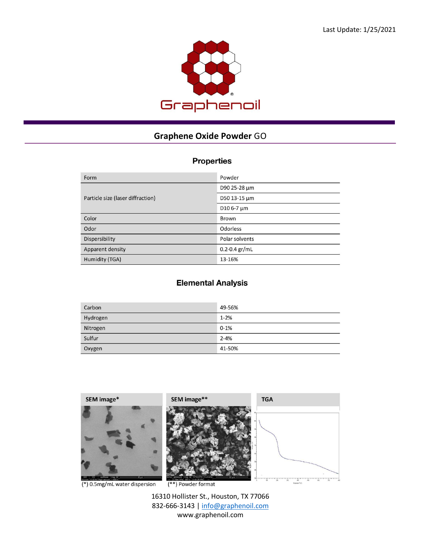

## **Graphene Oxide Powder** GO

## **Properties**

| Form                              | Powder            |
|-----------------------------------|-------------------|
| Particle size (laser diffraction) | D90 25-28 µm      |
|                                   | D50 13-15 µm      |
|                                   | D10 6-7 µm        |
| Color                             | Brown             |
| Odor                              | <b>Odorless</b>   |
| Dispersibility                    | Polar solvents    |
| Apparent density                  | $0.2 - 0.4 gr/mL$ |
| Humidity (TGA)                    | 13-16%            |

## **Elemental Analysis**

| Carbon   | 49-56%   |
|----------|----------|
| Hydrogen | $1 - 2%$ |
| Nitrogen | $0 - 1%$ |
| Sulfur   | $2 - 4%$ |
| Oxygen   | 41-50%   |



 $(*)$  0.5mg/mL water dispersion

 $(**)$  Powder format

16310 Hollister St., Houston, TX 77066 832-666-3143 [| info@graphenoil.com](mailto:info@graphenoil.com) www.graphenoil.com